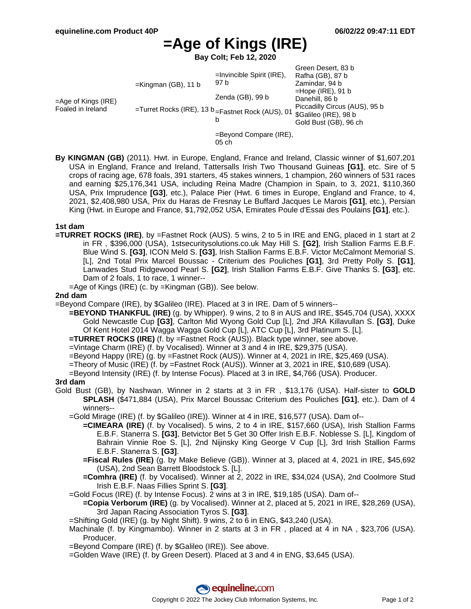# **=Age of Kings (IRE)**

**Bay Colt; Feb 12, 2020**

|                                             |                                                                                                    |                                      | Green Desert, 83 b            |
|---------------------------------------------|----------------------------------------------------------------------------------------------------|--------------------------------------|-------------------------------|
| $=$ Age of Kings (IRE)<br>Foaled in Ireland | $=$ Kingman (GB), 11 b<br>=Turret Rocks (IRE), 13 b = Fastnet Rock (AUS), 01 \$Galileo (IRE), 98 b | $=$ Invincible Spirit (IRE),<br>97 b | Rafha (GB), 87 b              |
|                                             |                                                                                                    |                                      | Zamindar, 94 b                |
|                                             |                                                                                                    |                                      | $=$ Hope (IRE), 91 b          |
|                                             |                                                                                                    | Zenda (GB), 99 b                     | Danehill, 86 b                |
|                                             |                                                                                                    | b                                    | Piccadilly Circus (AUS), 95 b |
|                                             |                                                                                                    |                                      | Gold Bust (GB), 96 ch         |
|                                             | $=$ Beyond Compare (IRE),<br>05ch                                                                  |                                      |                               |
|                                             |                                                                                                    |                                      |                               |

**By KINGMAN (GB)** (2011). Hwt. in Europe, England, France and Ireland, Classic winner of \$1,607,201 USA in England, France and Ireland, Tattersalls Irish Two Thousand Guineas **[G1]**, etc. Sire of 5 crops of racing age, 678 foals, 391 starters, 45 stakes winners, 1 champion, 260 winners of 531 races and earning \$25,176,341 USA, including Reina Madre (Champion in Spain, to 3, 2021, \$110,360 USA, Prix Imprudence **[G3]**, etc.), Palace Pier (Hwt. 6 times in Europe, England and France, to 4, 2021, \$2,408,980 USA, Prix du Haras de Fresnay Le Buffard Jacques Le Marois **[G1]**, etc.), Persian King (Hwt. in Europe and France, \$1,792,052 USA, Emirates Poule d'Essai des Poulains **[G1]**, etc.).

#### **1st dam**

- **=TURRET ROCKS (IRE)**, by =Fastnet Rock (AUS). 5 wins, 2 to 5 in IRE and ENG, placed in 1 start at 2 in FR , \$396,000 (USA), 1stsecuritysolutions.co.uk May Hill S. **[G2]**, Irish Stallion Farms E.B.F. Blue Wind S. **[G3]**, ICON Meld S. **[G3]**, Irish Stallion Farms E.B.F. Victor McCalmont Memorial S. [L], 2nd Total Prix Marcel Boussac - Criterium des Pouliches **[G1]**, 3rd Pretty Polly S. **[G1]**, Lanwades Stud Ridgewood Pearl S. **[G2]**, Irish Stallion Farms E.B.F. Give Thanks S. **[G3]**, etc. Dam of 2 foals, 1 to race, 1 winner--
	- =Age of Kings (IRE) (c. by =Kingman (GB)). See below.

### **2nd dam**

=Beyond Compare (IRE), by \$Galileo (IRE). Placed at 3 in IRE. Dam of 5 winners--

- **=BEYOND THANKFUL (IRE)** (g. by Whipper). 9 wins, 2 to 8 in AUS and IRE, \$545,704 (USA), XXXX Gold Newcastle Cup **[G3]**, Carlton Mid Wyong Gold Cup [L], 2nd JRA Killavullan S. **[G3]**, Duke Of Kent Hotel 2014 Wagga Wagga Gold Cup [L], ATC Cup [L], 3rd Platinum S. [L].
- **=TURRET ROCKS (IRE)** (f. by =Fastnet Rock (AUS)). Black type winner, see above.
- =Vintage Charm (IRE) (f. by Vocalised). Winner at 3 and 4 in IRE, \$29,375 (USA).
- =Beyond Happy (IRE) (g. by =Fastnet Rock (AUS)). Winner at 4, 2021 in IRE, \$25,469 (USA).
- =Theory of Music (IRE) (f. by =Fastnet Rock (AUS)). Winner at 3, 2021 in IRE, \$10,689 (USA).
- =Beyond Intensity (IRE) (f. by Intense Focus). Placed at 3 in IRE, \$4,766 (USA). Producer.

# **3rd dam**

- Gold Bust (GB), by Nashwan. Winner in 2 starts at 3 in FR , \$13,176 (USA). Half-sister to **GOLD SPLASH** (\$471,884 (USA), Prix Marcel Boussac Criterium des Pouliches **[G1]**, etc.). Dam of 4 winners--
	- =Gold Mirage (IRE) (f. by \$Galileo (IRE)). Winner at 4 in IRE, \$16,577 (USA). Dam of--
		- **=CIMEARA (IRE)** (f. by Vocalised). 5 wins, 2 to 4 in IRE, \$157,660 (USA), Irish Stallion Farms E.B.F. Stanerra S. **[G3]**, Betvictor Bet 5 Get 30 Offer Irish E.B.F. Noblesse S. [L], Kingdom of Bahrain Vinnie Roe S. [L], 2nd Nijinsky King George V Cup [L], 3rd Irish Stallion Farms E.B.F. Stanerra S. **[G3]**.
		- **=Fiscal Rules (IRE)** (g. by Make Believe (GB)). Winner at 3, placed at 4, 2021 in IRE, \$45,692 (USA), 2nd Sean Barrett Bloodstock S. [L].
		- **=Comhra (IRE)** (f. by Vocalised). Winner at 2, 2022 in IRE, \$34,024 (USA), 2nd Coolmore Stud Irish E.B.F. Naas Fillies Sprint S. **[G3]**.
	- =Gold Focus (IRE) (f. by Intense Focus). 2 wins at 3 in IRE, \$19,185 (USA). Dam of--
	- **=Copia Verborum (IRE)** (g. by Vocalised). Winner at 2, placed at 5, 2021 in IRE, \$28,269 (USA), 3rd Japan Racing Association Tyros S. **[G3]**.
	- =Shifting Gold (IRE) (g. by Night Shift). 9 wins, 2 to 6 in ENG, \$43,240 (USA).
	- Machinale (f. by Kingmambo). Winner in 2 starts at 3 in FR , placed at 4 in NA , \$23,706 (USA). Producer.
	- =Beyond Compare (IRE) (f. by \$Galileo (IRE)). See above.
	- =Golden Wave (IRE) (f. by Green Desert). Placed at 3 and 4 in ENG, \$3,645 (USA).